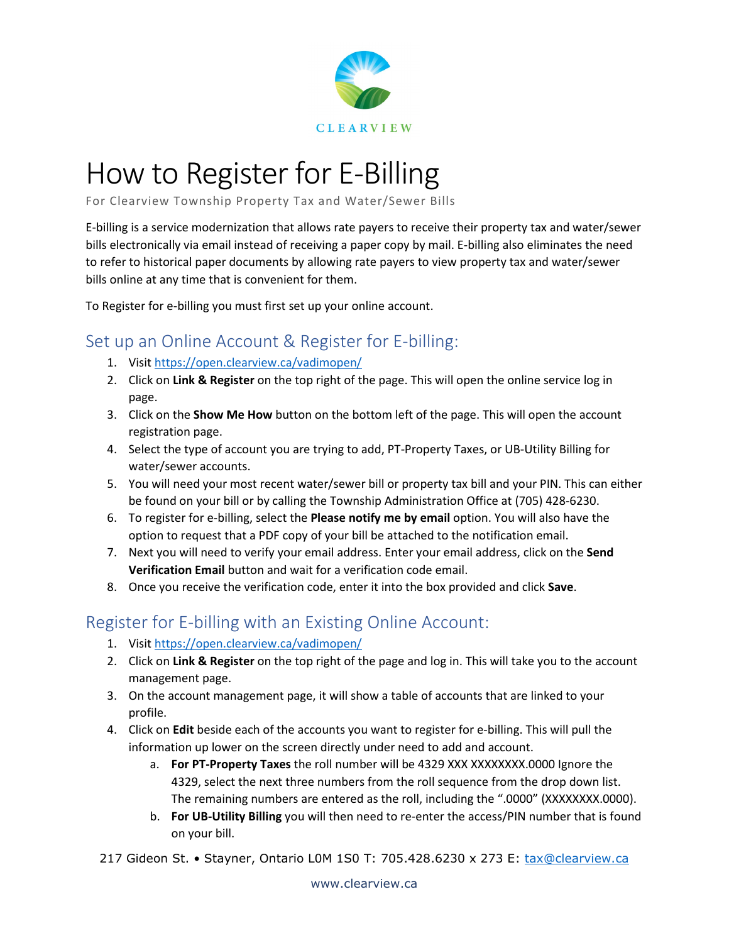

## How to Register for E-Billing

For Clearview Township Property Tax and Water/Sewer Bills

E-billing is a service modernization that allows rate payers to receive their property tax and water/sewer bills electronically via email instead of receiving a paper copy by mail. E-billing also eliminates the need to refer to historical paper documents by allowing rate payers to view property tax and water/sewer bills online at any time that is convenient for them.

To Register for e-billing you must first set up your online account.

## Set up an Online Account & Register for E-billing:

- 1. Visit<https://open.clearview.ca/vadimopen/>
- 2. Click on **Link & Register** on the top right of the page. This will open the online service log in page.
- 3. Click on the **Show Me How** button on the bottom left of the page. This will open the account registration page.
- 4. Select the type of account you are trying to add, PT-Property Taxes, or UB-Utility Billing for water/sewer accounts.
- 5. You will need your most recent water/sewer bill or property tax bill and your PIN. This can either be found on your bill or by calling the Township Administration Office at (705) 428-6230.
- 6. To register for e-billing, select the **Please notify me by email** option. You will also have the option to request that a PDF copy of your bill be attached to the notification email.
- 7. Next you will need to verify your email address. Enter your email address, click on the **Send Verification Email** button and wait for a verification code email.
- 8. Once you receive the verification code, enter it into the box provided and click **Save**.

## Register for E-billing with an Existing Online Account:

- 1. Visit<https://open.clearview.ca/vadimopen/>
- 2. Click on **Link & Register** on the top right of the page and log in. This will take you to the account management page.
- 3. On the account management page, it will show a table of accounts that are linked to your profile.
- 4. Click on **Edit** beside each of the accounts you want to register for e-billing. This will pull the information up lower on the screen directly under need to add and account.
	- a. **For PT-Property Taxes** the roll number will be 4329 XXX XXXXXXXX.0000 Ignore the 4329, select the next three numbers from the roll sequence from the drop down list. The remaining numbers are entered as the roll, including the ".0000" (XXXXXXXX.0000).
	- b. **For UB-Utility Billing** you will then need to re-enter the access/PIN number that is found on your bill.

217 Gideon St. • Stayner, Ontario LOM 1S0 T: 705.428.6230 x 273 E: [tax@clearview.ca](mailto:tax@clearview.ca)